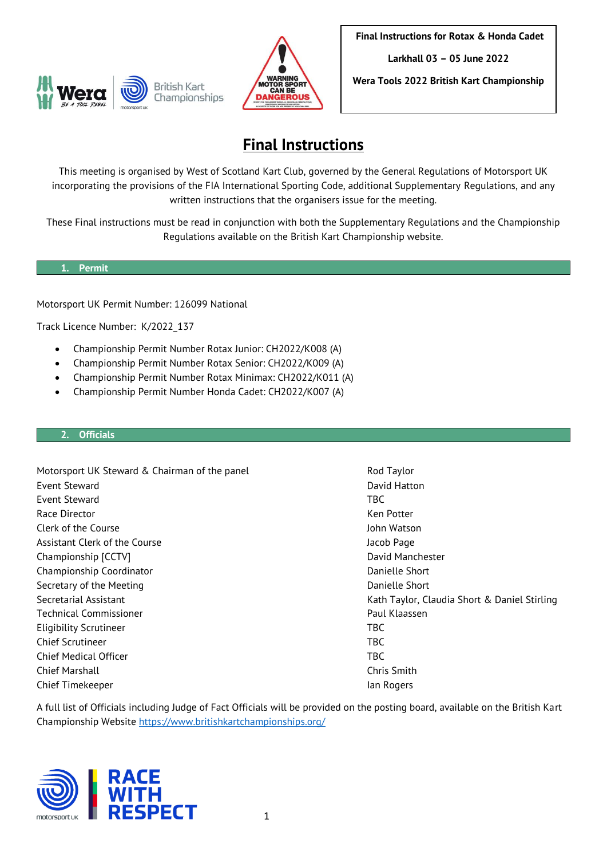



**Final Instructions for Rotax & Honda Cadet**

**Larkhall 03 – 05 June 2022**

**Wera Tools 2022 British Kart Championship**

# **Final Instructions**

This meeting is organised by West of Scotland Kart Club, governed by the General Regulations of Motorsport UK incorporating the provisions of the FIA International Sporting Code, additional Supplementary Regulations, and any written instructions that the organisers issue for the meeting.

These Final instructions must be read in conjunction with both the Supplementary Regulations and the Championship Regulations available on the British Kart Championship website.

## **1. Permit**

Motorsport UK Permit Number: 126099 National

Track Licence Number: K/2022\_137

- Championship Permit Number Rotax Junior: CH2022/K008 (A)
- Championship Permit Number Rotax Senior: CH2022/K009 (A)
- Championship Permit Number Rotax Minimax: CH2022/K011 (A)
- Championship Permit Number Honda Cadet: CH2022/K007 (A)

## **2. Officials**

Motorsport UK Steward & Chairman of the panel Rod Taylor Event Steward David Hatton Event Steward TBC Race Director **Ken Potter** Ken Potter **Ken Potter** Ken Potter Clerk of the Course John Watson Assistant Clerk of the Course Jacob Page Jacob Page Championship [CCTV] David Manchester Championship Coordinator **Danielle Short** Danielle Short Secretary of the Meeting **Danielle Short** Danielle Short Secretarial Assistant Kath Taylor, Claudia Short & Daniel Stirling Technical Commissioner **Paul Alexander Paul Alexander Paul Klaassen** Eligibility Scrutineer TBC Chief Scrutineer TBC Chief Medical Officer TBC Chief Marshall Chris Smith Chief Timekeeper **Ian Rogers** Ian Rogers

A full list of Officials including Judge of Fact Officials will be provided on the posting board, available on the British Kart Championship Website<https://www.britishkartchampionships.org/>

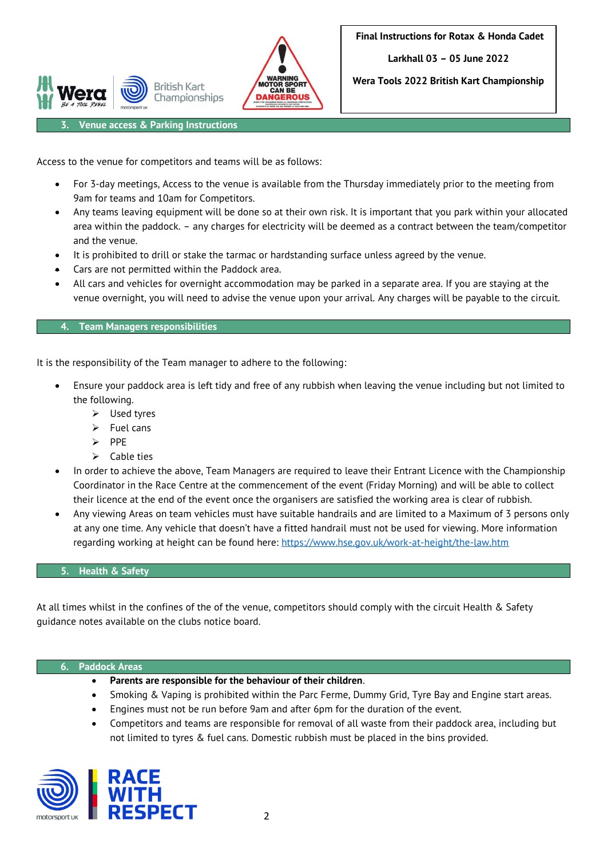

**Wera Tools 2022 British Kart Championship**

**3. Venue access & Parking Instructions**

Access to the venue for competitors and teams will be as follows:

**British Kart** 

Championships

- For 3-day meetings, Access to the venue is available from the Thursday immediately prior to the meeting from 9am for teams and 10am for Competitors.
- Any teams leaving equipment will be done so at their own risk. It is important that you park within your allocated area within the paddock. – any charges for electricity will be deemed as a contract between the team/competitor and the venue.
- It is prohibited to drill or stake the tarmac or hardstanding surface unless agreed by the venue.
- Cars are not permitted within the Paddock area.
- All cars and vehicles for overnight accommodation may be parked in a separate area. If you are staying at the venue overnight, you will need to advise the venue upon your arrival. Any charges will be payable to the circuit.

## **4. Team Managers responsibilities**

It is the responsibility of the Team manager to adhere to the following:

- Ensure your paddock area is left tidy and free of any rubbish when leaving the venue including but not limited to the following.
	- ➢ Used tyres
	- $\triangleright$  Fuel cans
	- ➢ PPE
	- $\triangleright$  Cable ties
- In order to achieve the above, Team Managers are required to leave their Entrant Licence with the Championship Coordinator in the Race Centre at the commencement of the event (Friday Morning) and will be able to collect their licence at the end of the event once the organisers are satisfied the working area is clear of rubbish.
- Any viewing Areas on team vehicles must have suitable handrails and are limited to a Maximum of 3 persons only at any one time. Any vehicle that doesn't have a fitted handrail must not be used for viewing. More information regarding working at height can be found here:<https://www.hse.gov.uk/work-at-height/the-law.htm>

## **5. Health & Safety**

At all times whilst in the confines of the of the venue, competitors should comply with the circuit Health & Safety guidance notes available on the clubs notice board.

#### **6. Paddock Areas**

- **Parents are responsible for the behaviour of their children**.
- Smoking & Vaping is prohibited within the Parc Ferme, Dummy Grid, Tyre Bay and Engine start areas.
- Engines must not be run before 9am and after 6pm for the duration of the event.
- Competitors and teams are responsible for removal of all waste from their paddock area, including but not limited to tyres & fuel cans. Domestic rubbish must be placed in the bins provided.

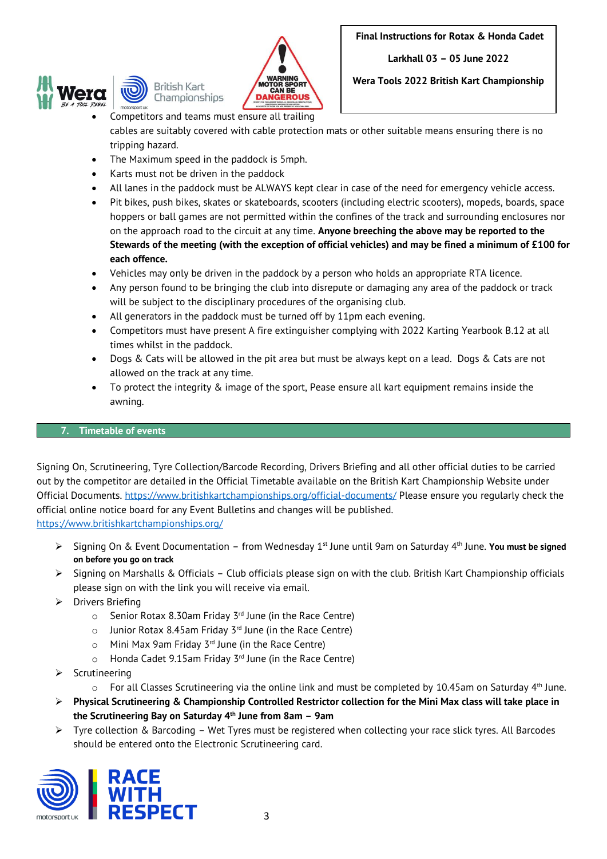



**Wera Tools 2022 British Kart Championship**

- Competitors and teams must ensure all trailing cables are suitably covered with cable protection mats or other suitable means ensuring there is no tripping hazard.
- The Maximum speed in the paddock is 5mph.
- Karts must not be driven in the paddock
- All lanes in the paddock must be ALWAYS kept clear in case of the need for emergency vehicle access.
- Pit bikes, push bikes, skates or skateboards, scooters (including electric scooters), mopeds, boards, space hoppers or ball games are not permitted within the confines of the track and surrounding enclosures nor on the approach road to the circuit at any time. **Anyone breeching the above may be reported to the Stewards of the meeting (with the exception of official vehicles) and may be fined a minimum of £100 for each offence.**
- Vehicles may only be driven in the paddock by a person who holds an appropriate RTA licence.
- Any person found to be bringing the club into disrepute or damaging any area of the paddock or track will be subject to the disciplinary procedures of the organising club.
- All generators in the paddock must be turned off by 11pm each evening.
- Competitors must have present A fire extinguisher complying with 2022 Karting Yearbook B.12 at all times whilst in the paddock.
- Dogs & Cats will be allowed in the pit area but must be always kept on a lead. Dogs & Cats are not allowed on the track at any time.
- To protect the integrity & image of the sport, Pease ensure all kart equipment remains inside the awning.

# **7. Timetable of events**

Signing On, Scrutineering, Tyre Collection/Barcode Recording, Drivers Briefing and all other official duties to be carried out by the competitor are detailed in the Official Timetable available on the British Kart Championship Website under Official Documents.<https://www.britishkartchampionships.org/official-documents/> Please ensure you regularly check the official online notice board for any Event Bulletins and changes will be published. <https://www.britishkartchampionships.org/>

- ▶ Signing On & Event Documentation from Wednesday 1<sup>st</sup> June until 9am on Saturday 4<sup>th</sup> June. **You must be signed on before you go on track**
- ➢ Signing on Marshalls & Officials Club officials please sign on with the club. British Kart Championship officials please sign on with the link you will receive via email.
- ➢ Drivers Briefing
	- $\circ$  Senior Rotax 8.30am Friday 3<sup>rd</sup> June (in the Race Centre)
	- $\circ$  Junior Rotax 8.45am Friday 3<sup>rd</sup> June (in the Race Centre)
	- $\circ$  Mini Max 9am Friday 3<sup>rd</sup> June (in the Race Centre)
	- $\circ$  Honda Cadet 9.15am Friday 3<sup>rd</sup> June (in the Race Centre)
- ➢ Scrutineering
	- $\circ$  For all Classes Scrutineering via the online link and must be completed by 10.45am on Saturday 4<sup>th</sup> June.
- ➢ **Physical Scrutineering & Championship Controlled Restrictor collection for the Mini Max class will take place in the Scrutineering Bay on Saturday 4 th June from 8am – 9am**
- ➢ Tyre collection & Barcoding Wet Tyres must be registered when collecting your race slick tyres. All Barcodes should be entered onto the Electronic Scrutineering card.

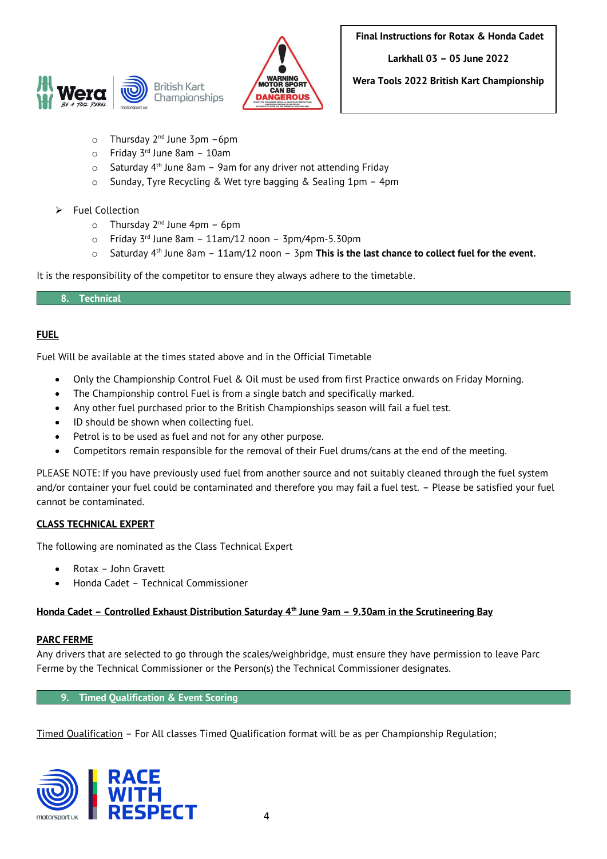



**Wera Tools 2022 British Kart Championship**

- o Thursday 2<sup>nd</sup> June 3pm -6pm
- o Friday 3 rd June 8am 10am
- $\circ$  Saturday 4<sup>th</sup> June 8am 9am for any driver not attending Friday
- o Sunday, Tyre Recycling & Wet tyre bagging & Sealing 1pm 4pm
- ➢ Fuel Collection
	- o Thursday 2<sup>nd</sup> June 4pm 6pm
	- $\circ$  Friday 3<sup>rd</sup> June 8am 11am/12 noon 3pm/4pm-5.30pm
	- o Saturday 4<sup>th</sup> June 8am 11am/12 noon 3pm **This is the last chance to collect fuel for the event.**

It is the responsibility of the competitor to ensure they always adhere to the timetable.

## **8. Technical**

## **FUEL**

Fuel Will be available at the times stated above and in the Official Timetable

- Only the Championship Control Fuel & Oil must be used from first Practice onwards on Friday Morning.
- The Championship control Fuel is from a single batch and specifically marked.
- Any other fuel purchased prior to the British Championships season will fail a fuel test.
- ID should be shown when collecting fuel.
- Petrol is to be used as fuel and not for any other purpose.
- Competitors remain responsible for the removal of their Fuel drums/cans at the end of the meeting.

PLEASE NOTE: If you have previously used fuel from another source and not suitably cleaned through the fuel system and/or container your fuel could be contaminated and therefore you may fail a fuel test. – Please be satisfied your fuel cannot be contaminated.

# **CLASS TECHNICAL EXPERT**

The following are nominated as the Class Technical Expert

- Rotax John Gravett
- Honda Cadet Technical Commissioner

## **Honda Cadet – Controlled Exhaust Distribution Saturday 4th June 9am – 9.30am in the Scrutineering Bay**

## **PARC FERME**

Any drivers that are selected to go through the scales/weighbridge, must ensure they have permission to leave Parc Ferme by the Technical Commissioner or the Person(s) the Technical Commissioner designates.

**9. Timed Qualification & Event Scoring** 

Timed Qualification – For All classes Timed Qualification format will be as per Championship Regulation;

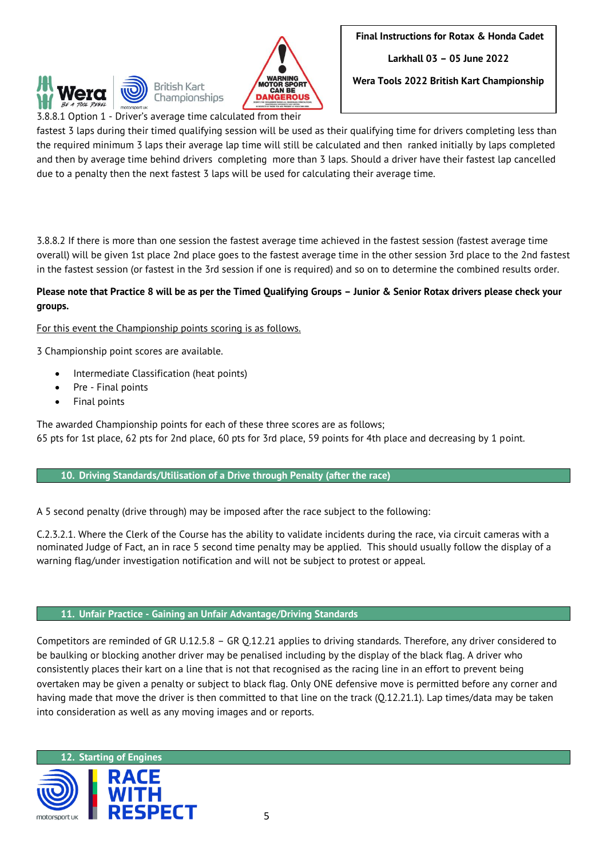



**Wera Tools 2022 British Kart Championship**

3.8.8.1 Option 1 - Driver's average time calculated from their

fastest 3 laps during their timed qualifying session will be used as their qualifying time for drivers completing less than the required minimum 3 laps their average lap time will still be calculated and then ranked initially by laps completed and then by average time behind drivers completing more than 3 laps. Should a driver have their fastest lap cancelled due to a penalty then the next fastest 3 laps will be used for calculating their average time.

3.8.8.2 If there is more than one session the fastest average time achieved in the fastest session (fastest average time overall) will be given 1st place 2nd place goes to the fastest average time in the other session 3rd place to the 2nd fastest in the fastest session (or fastest in the 3rd session if one is required) and so on to determine the combined results order.

# **Please note that Practice 8 will be as per the Timed Qualifying Groups – Junior & Senior Rotax drivers please check your groups.**

For this event the Championship points scoring is as follows.

3 Championship point scores are available.

- Intermediate Classification (heat points)
- Pre Final points
- Final points

The awarded Championship points for each of these three scores are as follows; 65 pts for 1st place, 62 pts for 2nd place, 60 pts for 3rd place, 59 points for 4th place and decreasing by 1 point.

# **10. Driving Standards/Utilisation of a Drive through Penalty (after the race)**

A 5 second penalty (drive through) may be imposed after the race subject to the following:

C.2.3.2.1. Where the Clerk of the Course has the ability to validate incidents during the race, via circuit cameras with a nominated Judge of Fact, an in race 5 second time penalty may be applied. This should usually follow the display of a warning flag/under investigation notification and will not be subject to protest or appeal.

# **11. Unfair Practice - Gaining an Unfair Advantage/Driving Standards**

Competitors are reminded of GR U.12.5.8 – GR Q.12.21 applies to driving standards. Therefore, any driver considered to be baulking or blocking another driver may be penalised including by the display of the black flag. A driver who consistently places their kart on a line that is not that recognised as the racing line in an effort to prevent being overtaken may be given a penalty or subject to black flag. Only ONE defensive move is permitted before any corner and having made that move the driver is then committed to that line on the track (Q.12.21.1). Lap times/data may be taken into consideration as well as any moving images and or reports.

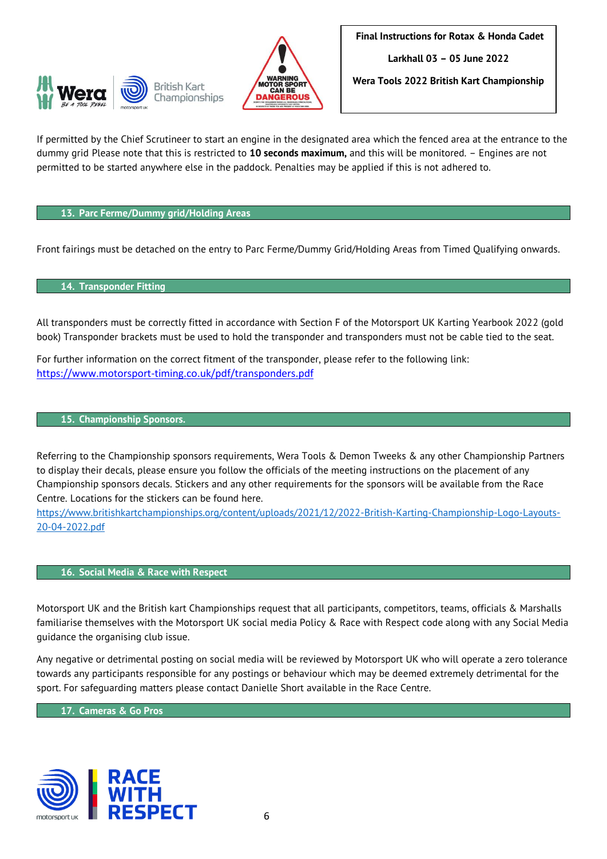



**Wera Tools 2022 British Kart Championship**

If permitted by the Chief Scrutineer to start an engine in the designated area which the fenced area at the entrance to the dummy grid Please note that this is restricted to **10 seconds maximum,** and this will be monitored. – Engines are not permitted to be started anywhere else in the paddock. Penalties may be applied if this is not adhered to.

## **13. Parc Ferme/Dummy grid/Holding Areas**

Front fairings must be detached on the entry to Parc Ferme/Dummy Grid/Holding Areas from Timed Qualifying onwards.

## **14. Transponder Fitting**

All transponders must be correctly fitted in accordance with Section F of the Motorsport UK Karting Yearbook 2022 (gold book) Transponder brackets must be used to hold the transponder and transponders must not be cable tied to the seat.

For further information on the correct fitment of the transponder, please refer to the following link: [https://www.motorsport-timing.co.uk/pdf/transponders.pdf](https://eur02.safelinks.protection.outlook.com/?url=https%3A%2F%2Fwww.motorsport-timing.co.uk%2Fpdf%2Ftransponders.pdf&data=02%7C01%7CDanielle.Short%40motorsportuk.org%7Cf824c2c6ec81463934b208d83c79a4ed%7C63a2da0237564d81baedec1930321ea4%7C0%7C0%7C637325840448998301&sdata=t%2FIG9JROWeWLxc2BhD0fFm00ya8lB2X1hEV1Xvm9d%2FU%3D&reserved=0)

#### **15. Championship Sponsors.**

Referring to the Championship sponsors requirements, Wera Tools & Demon Tweeks & any other Championship Partners to display their decals, please ensure you follow the officials of the meeting instructions on the placement of any Championship sponsors decals. Stickers and any other requirements for the sponsors will be available from the Race Centre. Locations for the stickers can be found here.

[https://www.britishkartchampionships.org/content/uploads/2021/12/2022-British-Karting-Championship-Logo-Layouts-](https://www.britishkartchampionships.org/content/uploads/2021/12/2022-British-Karting-Championship-Logo-Layouts-20-04-2022.pdf)[20-04-2022.pdf](https://www.britishkartchampionships.org/content/uploads/2021/12/2022-British-Karting-Championship-Logo-Layouts-20-04-2022.pdf)

### **16. Social Media & Race with Respect**

Motorsport UK and the British kart Championships request that all participants, competitors, teams, officials & Marshalls familiarise themselves with the Motorsport UK social media Policy & Race with Respect code along with any Social Media guidance the organising club issue.

Any negative or detrimental posting on social media will be reviewed by Motorsport UK who will operate a zero tolerance towards any participants responsible for any postings or behaviour which may be deemed extremely detrimental for the sport. For safeguarding matters please contact Danielle Short available in the Race Centre.

**17. Cameras & Go Pros**

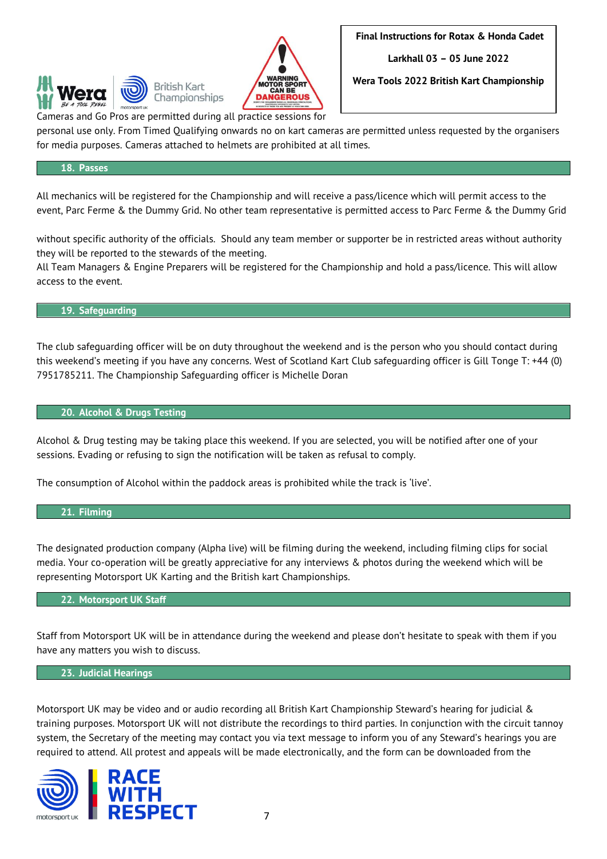



**Wera Tools 2022 British Kart Championship**

Cameras and Go Pros are permitted during all practice sessions for

personal use only. From Timed Qualifying onwards no on kart cameras are permitted unless requested by the organisers for media purposes. Cameras attached to helmets are prohibited at all times.

## **18. Passes**

All mechanics will be registered for the Championship and will receive a pass/licence which will permit access to the event, Parc Ferme & the Dummy Grid. No other team representative is permitted access to Parc Ferme & the Dummy Grid

without specific authority of the officials. Should any team member or supporter be in restricted areas without authority they will be reported to the stewards of the meeting.

All Team Managers & Engine Preparers will be registered for the Championship and hold a pass/licence. This will allow access to the event.

#### **19. Safeguarding**

The club safeguarding officer will be on duty throughout the weekend and is the person who you should contact during this weekend's meeting if you have any concerns. West of Scotland Kart Club safeguarding officer is Gill Tonge T: +44 (0) 7951785211. The Championship Safeguarding officer is Michelle Doran

## **20. Alcohol & Drugs Testing**

Alcohol & Drug testing may be taking place this weekend. If you are selected, you will be notified after one of your sessions. Evading or refusing to sign the notification will be taken as refusal to comply.

The consumption of Alcohol within the paddock areas is prohibited while the track is 'live'.

#### **21. Filming**

The designated production company (Alpha live) will be filming during the weekend, including filming clips for social media. Your co-operation will be greatly appreciative for any interviews & photos during the weekend which will be representing Motorsport UK Karting and the British kart Championships.

## **22. Motorsport UK Staff**

Staff from Motorsport UK will be in attendance during the weekend and please don't hesitate to speak with them if you have any matters you wish to discuss.

#### **23. Judicial Hearings**

Motorsport UK may be video and or audio recording all British Kart Championship Steward's hearing for judicial & training purposes. Motorsport UK will not distribute the recordings to third parties. In conjunction with the circuit tannoy system, the Secretary of the meeting may contact you via text message to inform you of any Steward's hearings you are required to attend. All protest and appeals will be made electronically, and the form can be downloaded from the